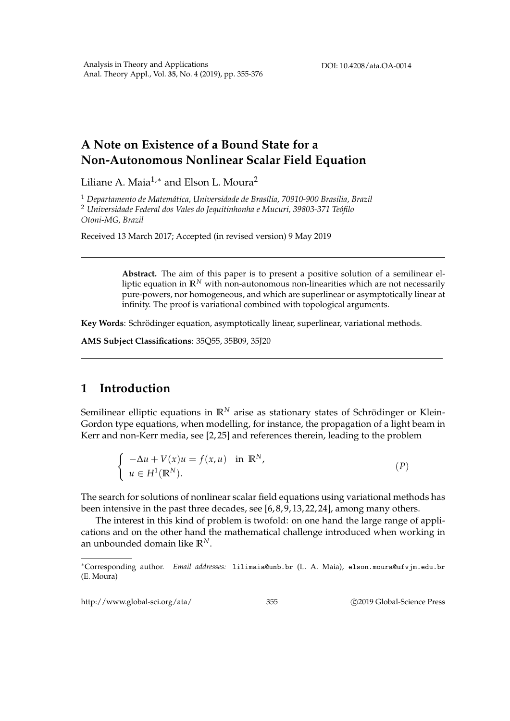## **A Note on Existence of a Bound State for a Non-Autonomous Nonlinear Scalar Field Equation**

Liliane A. Maia<sup>1,∗</sup> and Elson L. Moura<sup>2</sup>

<sup>1</sup> *Departamento de Matem´atica, Universidade de Bras´ılia, 70910-900 Brasilia, Brazil* <sup>2</sup> Universidade Federal dos Vales do Jequitinhonha e Mucuri, 39803-371 Teófilo *Otoni-MG, Brazil*

Received 13 March 2017; Accepted (in revised version) 9 May 2019

**Abstract.** The aim of this paper is to present a positive solution of a semilinear elliptic equation in  $\mathbb{R}^N$  with non-autonomous non-linearities which are not necessarily pure-powers, nor homogeneous, and which are superlinear or asymptotically linear at infinity. The proof is variational combined with topological arguments.

Key Words: Schrödinger equation, asymptotically linear, superlinear, variational methods.

**AMS Subject Classifications**: 35Q55, 35B09, 35J20

## **1 Introduction**

Semilinear elliptic equations in  $\mathbb{R}^N$  arise as stationary states of Schrödinger or Klein-Gordon type equations, when modelling, for instance, the propagation of a light beam in Kerr and non-Kerr media, see [2, 25] and references therein, leading to the problem

$$
\begin{cases}\n-\Delta u + V(x)u = f(x, u) & \text{in } \mathbb{R}^N, \\
u \in H^1(\mathbb{R}^N).\n\end{cases} \tag{P}
$$

The search for solutions of nonlinear scalar field equations using variational methods has been intensive in the past three decades, see [6, 8, 9, 13, 22, 24], among many others.

The interest in this kind of problem is twofold: on one hand the large range of applications and on the other hand the mathematical challenge introduced when working in an unbounded domain like **R***N*.

http://www.global-sci.org/ata/ 355 c 2019 Global-Science Press

<sup>∗</sup>Corresponding author. *Email addresses:* lilimaia@unb.br (L. A. Maia), elson.moura@ufvjm.edu.br (E. Moura)